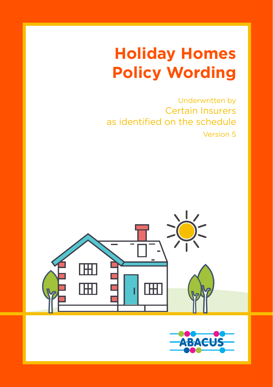# **Holiday Homes Policy Wording**

Underwritten by Certain Insurers as identified on the schedule Version 5



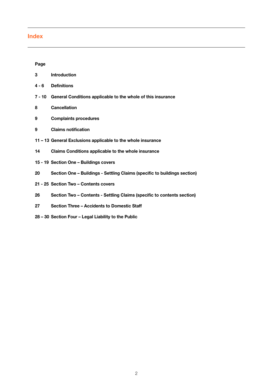# **Index**

### **Page**

| 3      | <b>Introduction</b>                                                       |
|--------|---------------------------------------------------------------------------|
| 4 - 6  | <b>Definitions</b>                                                        |
| 7 - 10 | General Conditions applicable to the whole of this insurance              |
| 8      | Cancellation                                                              |
| 9      | <b>Complaints procedures</b>                                              |
| 9      | <b>Claims notification</b>                                                |
|        | 11 – 13 General Exclusions applicable to the whole insurance              |
| 14     | Claims Conditions applicable to the whole insurance                       |
|        | 15 - 19 Section One - Buildings covers                                    |
| 20     | Section One - Buildings - Settling Claims (specific to buildings section) |
|        | 21 - 25 Section Two - Contents covers                                     |
| 26     | Section Two - Contents - Settling Claims (specific to contents section)   |
| 27     | Section Three - Accidents to Domestic Staff                               |
|        |                                                                           |

**28 – 30 Section Four – Legal Liability to the Public**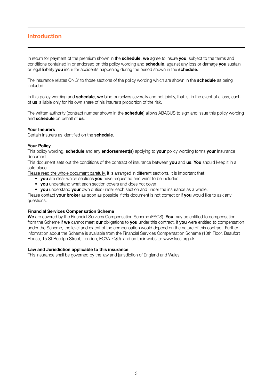### **Introduction**

In return for payment of the premium shown in the **schedule**, **we** agree to insure **you**, subject to the terms and conditions contained in or endorsed on this policy wording and **schedule**, against any loss or damage **you** sustain or legal liability **you** incur for accidents happening during the period shown in the **schedule**.

The insurance relates ONLY to those sections of the policy wording which are shown in the **schedule** as being included.

In this policy wording and **schedule**, **we** bind ourselves severally and not jointly, that is, in the event of a loss, each of **us** is liable only for his own share of his insurer's proportion of the risk.

The written authority (contract number shown in the **schedule**) allows ABACUS to sign and issue this policy wording and **schedule** on behalf of **us**.

#### **Your Insurers**

Certain Insurers as identified on the **schedule**.

#### **Your Policy**

This policy wording, **schedule** and any **endorsement(s)** applying to **your** policy wording forms **your** Insurance document.

This document sets out the conditions of the contract of insurance between **you** and **us**. **You** should keep it in a safe place.

Please read the whole document carefully. It is arranged in different sections. It is important that:

- **you** are clear which sections **you** have requested and want to be included;
- **you** understand what each section covers and does not cover;
- **you** understand **your** own duties under each section and under the insurance as a whole.

Please contact **your broker** as soon as possible if this document is not correct or if **you** would like to ask any questions.

#### **Financial Services Compensation Scheme**

**We** are covered by the Financial Services Compensation Scheme (FSCS). **You** may be entitled to compensation from the Scheme if **we** cannot meet **our** obligations to **you** under this contract. If **you** were entitled to compensation under the Scheme, the level and extent of the compensation would depend on the nature of this contract. Further information about the Scheme is available from the Financial Services Compensation Scheme (10th Floor, Beaufort House, 15 St Botolph Street, London, EC3A 7QU) and on their website: www.fscs.org.uk

#### **Law and Jurisdiction applicable to this insurance**

This insurance shall be governed by the law and jurisdiction of England and Wales.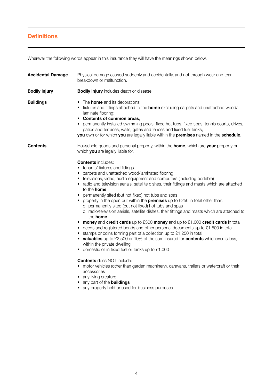# **Definitions**

Wherever the following words appear in this insurance they will have the meanings shown below.

| <b>Accidental Damage</b> | Physical damage caused suddenly and accidentally, and not through wear and tear,<br>breakdown or malfunction.                                                                                                                                                                                                                                                                                                                                                                                                                                                                                                                                                                                                                                                                                                                                                                                                                                                                                                                                                                                                                                                                                                                                                                                                                                                                                                                                                                   |  |
|--------------------------|---------------------------------------------------------------------------------------------------------------------------------------------------------------------------------------------------------------------------------------------------------------------------------------------------------------------------------------------------------------------------------------------------------------------------------------------------------------------------------------------------------------------------------------------------------------------------------------------------------------------------------------------------------------------------------------------------------------------------------------------------------------------------------------------------------------------------------------------------------------------------------------------------------------------------------------------------------------------------------------------------------------------------------------------------------------------------------------------------------------------------------------------------------------------------------------------------------------------------------------------------------------------------------------------------------------------------------------------------------------------------------------------------------------------------------------------------------------------------------|--|
| <b>Bodily injury</b>     | <b>Bodily injury</b> includes death or disease.                                                                                                                                                                                                                                                                                                                                                                                                                                                                                                                                                                                                                                                                                                                                                                                                                                                                                                                                                                                                                                                                                                                                                                                                                                                                                                                                                                                                                                 |  |
| <b>Buildings</b>         | • The <b>home</b> and its decorations:<br>• fixtures and fittings attached to the <b>home</b> excluding carpets and unattached wood/<br>laminate flooring;<br>• Contents of common areas:<br>• permanently installed swimming pools, fixed hot tubs, fixed spas, tennis courts, drives,<br>patios and terraces, walls, gates and fences and fixed fuel tanks;<br>you own or for which you are legally liable within the premises named in the schedule.                                                                                                                                                                                                                                                                                                                                                                                                                                                                                                                                                                                                                                                                                                                                                                                                                                                                                                                                                                                                                         |  |
| Contents                 | Household goods and personal property, within the <b>home</b> , which are your property or<br>which you are legally liable for.<br><b>Contents includes:</b><br>• tenants' fixtures and fittings<br>• carpets and unattached wood/laminated flooring<br>• televisions, video, audio equipment and computers (Including portable)<br>• radio and television aerials, satellite dishes, their fittings and masts which are attached<br>to the <b>home</b><br>• permanently sited (but not fixed) hot tubs and spas<br>• property in the open but within the <b>premises</b> up to £250 in total other than:<br>o permanently sited (but not fixed) hot tubs and spas<br>o radio/television aerials, satellite dishes, their fittings and masts which are attached to<br>the <b>home</b><br>• money and credit cards up to £300 money and up to £1,000 credit cards in total<br>• deeds and registered bonds and other personal documents up to £1,500 in total<br>• stamps or coins forming part of a collection up to £1,250 in total<br>• valuables up to £2,500 or 10% of the sum insured for contents whichever is less,<br>within the private dwelling<br>• domestic oil in fixed fuel oil tanks up to £1,000<br><b>Contents</b> does NOT include:<br>• motor vehicles (other than garden machinery), caravans, trailers or watercraft or their<br>accessories<br>• any living creature<br>• any part of the buildings<br>• any property held or used for business purposes. |  |
|                          |                                                                                                                                                                                                                                                                                                                                                                                                                                                                                                                                                                                                                                                                                                                                                                                                                                                                                                                                                                                                                                                                                                                                                                                                                                                                                                                                                                                                                                                                                 |  |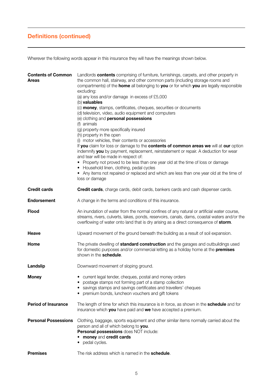# **Definitions (continued)**

Wherever the following words appear in this insurance they will have the meanings shown below.

| <b>Contents of Common</b><br>Areas | Landlords contents comprising of furniture, furnishings, carpets, and other property in<br>the common hall, stairway, and other common parts (including storage rooms and<br>compartments) of the home all belonging to you or for which you are legally responsible<br>excluding:<br>(a) any loss and/or damage in excess of £5,000<br>(b) valuables<br>(c) <b>money</b> , stamps, certificates, cheques, securities or documents<br>(d) television, video, audio equipment and computers<br>(e) clothing and <b>personal possessions</b><br>(f) animals<br>(g) property more specifically insured<br>(h) property in the open<br>(i) motor vehicles, their contents or accessories<br>If you claim for loss or damage to the contents of common areas we will at our option<br>indemnify you by payment, replacement, reinstatement or repair. A deduction for wear<br>and tear will be made in respect of:<br>• Property not proved to be less than one year old at the time of loss or damage<br>• Household linen, clothing, pedal cycles<br>• Any items not repaired or replaced and which are less than one year old at the time of<br>loss or damage |
|------------------------------------|--------------------------------------------------------------------------------------------------------------------------------------------------------------------------------------------------------------------------------------------------------------------------------------------------------------------------------------------------------------------------------------------------------------------------------------------------------------------------------------------------------------------------------------------------------------------------------------------------------------------------------------------------------------------------------------------------------------------------------------------------------------------------------------------------------------------------------------------------------------------------------------------------------------------------------------------------------------------------------------------------------------------------------------------------------------------------------------------------------------------------------------------------------------|
| <b>Credit cards</b>                | <b>Credit cards</b> , charge cards, debit cards, bankers cards and cash dispenser cards.                                                                                                                                                                                                                                                                                                                                                                                                                                                                                                                                                                                                                                                                                                                                                                                                                                                                                                                                                                                                                                                                     |
| <b>Endorsement</b>                 | A change in the terms and conditions of this insurance.                                                                                                                                                                                                                                                                                                                                                                                                                                                                                                                                                                                                                                                                                                                                                                                                                                                                                                                                                                                                                                                                                                      |
| Flood                              | An inundation of water from the normal confines of any natural or artificial water course,<br>streams, rivers, culverts, lakes, ponds, reservoirs, canals, dams, coastal waters and/or the<br>overflowing of water onto land that is dry arising as a direct consequence of storm.                                                                                                                                                                                                                                                                                                                                                                                                                                                                                                                                                                                                                                                                                                                                                                                                                                                                           |
| Heave                              | Upward movement of the ground beneath the building as a result of soil expansion.                                                                                                                                                                                                                                                                                                                                                                                                                                                                                                                                                                                                                                                                                                                                                                                                                                                                                                                                                                                                                                                                            |
| Home                               | The private dwelling of <b>standard construction</b> and the garages and outbuildings used<br>for domestic purposes and/or commercial letting as a holiday home at the <b>premises</b><br>shown in the schedule.                                                                                                                                                                                                                                                                                                                                                                                                                                                                                                                                                                                                                                                                                                                                                                                                                                                                                                                                             |
| Landslip                           | Downward movement of sloping ground.                                                                                                                                                                                                                                                                                                                                                                                                                                                                                                                                                                                                                                                                                                                                                                                                                                                                                                                                                                                                                                                                                                                         |
| Money                              | • current legal tender, cheques, postal and money orders<br>• postage stamps not forming part of a stamp collection<br>• savings stamps and savings certificates and travellers' cheques<br>premium bonds, luncheon vouchers and gift tokens<br>٠                                                                                                                                                                                                                                                                                                                                                                                                                                                                                                                                                                                                                                                                                                                                                                                                                                                                                                            |
| <b>Period of Insurance</b>         | The length of time for which this insurance is in force, as shown in the <b>schedule</b> and for<br>insurance which you have paid and we have accepted a premium.                                                                                                                                                                                                                                                                                                                                                                                                                                                                                                                                                                                                                                                                                                                                                                                                                                                                                                                                                                                            |
| <b>Personal Possessions</b>        | Clothing, baggage, sports equipment and other similar items normally carried about the<br>person and all of which belong to you.<br>Personal possessions does NOT include:<br>• money and credit cards<br>• pedal cycles.                                                                                                                                                                                                                                                                                                                                                                                                                                                                                                                                                                                                                                                                                                                                                                                                                                                                                                                                    |
| <b>Premises</b>                    | The risk address which is named in the <b>schedule</b> .                                                                                                                                                                                                                                                                                                                                                                                                                                                                                                                                                                                                                                                                                                                                                                                                                                                                                                                                                                                                                                                                                                     |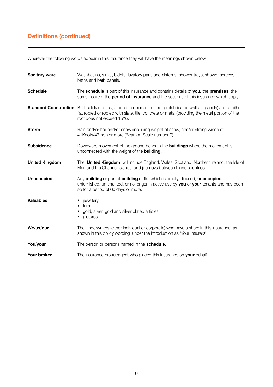# **Definitions (continued)**

Wherever the following words appear in this insurance they will have the meanings shown below.

| <b>Sanitary ware</b>  | Washbasins, sinks, bidets, lavatory pans and cisterns, shower trays, shower screens,<br>baths and bath panels.                                                                                                                                             |  |
|-----------------------|------------------------------------------------------------------------------------------------------------------------------------------------------------------------------------------------------------------------------------------------------------|--|
| <b>Schedule</b>       | The <b>schedule</b> is part of this insurance and contains details of you, the premises, the<br>sums insured, the <b>period of insurance</b> and the sections of this insurance which apply.                                                               |  |
|                       | <b>Standard Construction</b> Built solely of brick, stone or concrete (but not prefabricated walls or panels) and is either<br>flat roofed or roofed with slate, tile, concrete or metal (providing the metal portion of the<br>roof does not exceed 15%). |  |
| <b>Storm</b>          | Rain and/or hail and/or snow (including weight of snow) and/or strong winds of<br>41Knots/47mph or more (Beaufort Scale number 9).                                                                                                                         |  |
| <b>Subsidence</b>     | Downward movement of the ground beneath the <b>buildings</b> where the movement is<br>unconnected with the weight of the <b>building</b> .                                                                                                                 |  |
| <b>United Kingdom</b> | The 'United Kingdom' will include England, Wales, Scotland, Northern Ireland, the Isle of<br>Man and the Channel Islands, and journeys between these countries.                                                                                            |  |
| <b>Unoccupied</b>     | Any building or part of building or flat which is empty, disused, unoccupied,<br>unfurnished, untenanted, or no longer in active use by you or your tenants and has been<br>so for a period of 60 days or more.                                            |  |
| <b>Valuables</b>      | jewellery<br>٠<br>$\bullet$ furs<br>gold, silver, gold and silver plated articles<br>• pictures.                                                                                                                                                           |  |
| We/us/our             | The Underwriters (either individual or corporate) who have a share in this insurance, as<br>shown in this policy wording under the introduction as 'Your Insurers'.                                                                                        |  |
| You/your              | The person or persons named in the schedule.                                                                                                                                                                                                               |  |
| Your broker           | The insurance broker/agent who placed this insurance on your behalf.                                                                                                                                                                                       |  |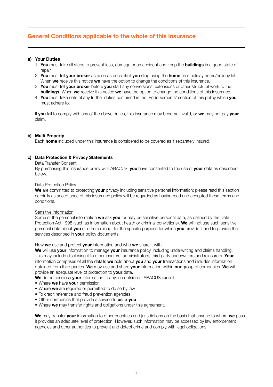# **General Conditions applicable to the whole of this insurance**

#### **a) Your Duties**

- 1. **You** must take all steps to prevent loss, damage or an accident and keep the **buildings** in a good state of repair
- 2. **You** must tell **your broker** as soon as possible if **you** stop using the **home** as a holiday home/holiday let. When **we** receive this notice **we** have the option to change the conditions of this insurance.
- 3. **You** must tell **your broker** before **you** start any conversions, extensions or other structural work to the **buildings**. When **we** receive this notice **we** have the option to change the conditions of this insurance.
- 4. **You** must take note of any further duties contained in the 'Endorsements' section of this policy which **you** must adhere to.

If **you** fail to comply with any of the above duties, this insurance may become invalid, or **we** may not pay **your** claim.

#### **b) Multi Property**

Each **home** included under this insurance is considered to be covered as if separately insured.

#### **c) Data Protection & Privacy Statements**

#### Data Transfer Consent

By purchasing this insurance policy with ABACUS, **you** have consented to the use of **your** data as described below.

#### Data Protection Policy

**We** are committed to protecting **your** privacy including sensitive personal information; please read this section carefully as acceptance of this insurance policy will be regarded as having read and accepted these terms and conditions.

#### Sensitive Information

Some of the personal information **we** ask **you** for may be sensitive personal data, as defined by the Data Protection Act 1998 (such as information about health or criminal convictions). **We** will not use such sensitive personal data about **you** or others except for the specific purpose for which **you** provide it and to provide the services described in **your** policy documents.

#### How **we** use and protect **your** information and who **we** share it with

**We** will use **your** information to manage **your** insurance policy, including underwriting and claims handling. This may include disclosing it to other insurers, administrators, third party underwriters and reinsurers. **Your** information comprises of all the details **we** hold about **you** and **your** transactions and includes information obtained from third parties. **We** may use and share **your** information within **our** group of companies. **We** will provide an adequate level of protection to **your** data.

**We** do not disclose **your** information to anyone outside of ABACUS except:

- Where **we** have **your** permission
- Where **we** are required or permitted to do so by law
- To credit reference and fraud prevention agencies
- Other companies that provide a service to **us** or **you**
- Where **we** may transfer rights and obligations under this agreement.

**We** may transfer **your** information to other countries and jurisdictions on the basis that anyone to whom **we** pass it provides an adequate level of protection. However, such information may be accessed by law enforcement agencies and other authorities to prevent and detect crime and comply with legal obligations.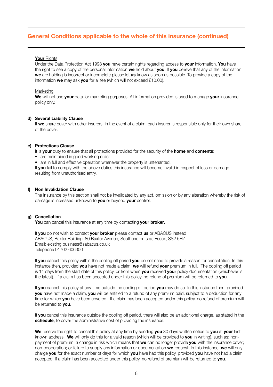### **General Conditions applicable to the whole of this insurance (continued)**

#### **Your** Rights

Under the Data Protection Act 1998 **you** have certain rights regarding access to **your** information. **You** have the right to see a copy of the personal information **we** hold about **you**. If **you** believe that any of the information **we** are holding is incorrect or incomplete please let **us** know as soon as possible. To provide a copy of the information **we** may ask **you** for a fee (which will not exceed £10.00).

#### Marketing

**We** will not use **your** data for marketing purposes. All information provided is used to manage **your** insurance policy only.

#### **d) Several Liability Clause**

If we share cover with other insurers, in the event of a claim, each insurer is responsible only for their own share of the cover.

#### **e) Protections Clause**

It is **your** duty to ensure that all protections provided for the security of the **home** and **contents**:

- are maintained in good working order
- are in full and effective operation whenever the property is untenanted.

If **you** fail to comply with the above duties this insurance will become invalid in respect of loss or damage resulting from unauthorised entry.

#### **f) Non Invalidation Clause**

The Insurance by this section shall not be invalidated by any act, omission or by any alteration whereby the risk of damage is increased unknown to **you** or beyond **your** control.

#### **g) Cancellation**

**You** can cancel this insurance at any time by contacting **your broker**.

If **you** do not wish to contact **your broker** please contact **us** or ABACUS instead ABACUS, Baxter Building, 80 Baxter Avenue, Southend on sea, Essex, SS2 6HZ. Email: existing business@sabacus.co.uk Telephone 01702 606300

If **you** cancel this policy within the cooling off period **you** do not need to provide a reason for cancellation. In this instance then, provided **you** have not made a claim, **we** will refund **your** premium in full. The cooling off period is 14 days from the start date of this policy, or from when **you** received **your** policy documentation (whichever is the latest). If a claim has been accepted under this policy, no refund of premium will be returned to **you**.

If **you** cancel this policy at any time outside the cooling off period **you** may do so. In this instance then, provided **you** have not made a claim, **you** will be entitled to a refund of any premium paid, subject to a deduction for any time for which **you** have been covered. If a claim has been accepted under this policy, no refund of premium will be returned to **you**.

If **you** cancel this insurance outside the cooling off period, there will also be an additional charge, as stated in the **schedule**, to cover the administrative cost of providing the insurance.

**We** reserve the right to cancel this policy at any time by sending **you** 30 days written notice to **you** at **your** last known address. **We** will only do this for a valid reason (which will be provided to **you** in writing), such as: nonpayment of premium; a change in risk which means that **we** can no longer provide **you** with the insurance cover; non-cooperation; or failure to supply any information or documentation **we** request. In this instance, **we** will only charge **you** for the exact number of days for which **you** have had this policy, provided **you** have not had a claim accepted. If a claim has been accepted under this policy, no refund of premium will be returned to **you**.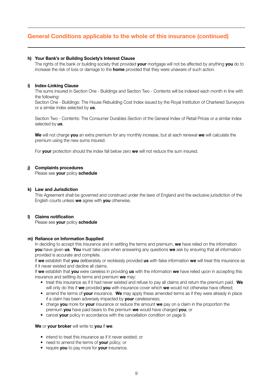### **General Conditions applicable to the whole of this insurance (continued)**

#### **h) Your Bank's or Building Society's Interest Clause**

The rights of the bank or building society that provided **your** mortgage will not be affected by anything **you** do to increase the risk of loss or damage to the **home** provided that they were unaware of such action.

#### **i) Index-Linking Clause**

The sums insured in Section One - Buildings and Section Two - Contents will be indexed each month in line with the following:

Section One - Buildings: The House Rebuilding Cost Index issued by the Royal Institution of Chartered Surveyors or a similar index selected by **us**.

Section Two - Contents: The Consumer Durables Section of the General Index of Retail Prices or a similar index selected by **us**.

**We** will not charge **you** an extra premium for any monthly increase, but at each renewal **we** will calculate the premium using the new sums insured.

For **your** protection should the index fall below zero **we** will not reduce the sum insured.

#### **j) Complaints procedures**

Please see **your** policy **schedule**

#### **k) Law and Jurisdiction**

This Agreement shall be governed and construed under the laws of England and the exclusive jurisdiction of the English courts unless **we** agree with **you** otherwise.

#### **l) Claims notification**

Please see **your** policy **schedule**

#### **m) Reliance on Information Supplied**

In deciding to accept this insurance and in settling the terms and premium, **we** have relied on the information **you** have given **us**. **You** must take care when answering any questions **we** ask by ensuring that all information provided is accurate and complete.

If **we** establish that **you** deliberately or recklessly provided **us** with false information **we** will treat this insurance as if it never existed and decline all claims.

If **we** establish that **you** were careless in providing **us** with the information **we** have relied upon in accepting this insurance and settling its terms and premium **we** may:

- treat this insurance as if it had never existed and refuse to pay all claims and return the premium paid. **We** will only do this if **we** provided **you** with insurance cover which **we** would not otherwise have offered;
- amend the terms of **your** insurance. **We** may apply these amended terms as if they were already in place if a claim has been adversely impacted by **your** carelessness;
- charge **you** more for **your** insurance or reduce the amount **we** pay on a claim in the proportion the premium **you** have paid bears to the premium **we** would have charged **you**; or
- cancel **your** policy in accordance with the cancellation condition on page 9.

#### **We** or **your broker** will write to **you** if **we**:

- intend to treat this insurance as if it never existed; or
- need to amend the terms of **your** policy; or
- require **you** to pay more for **your** insurance.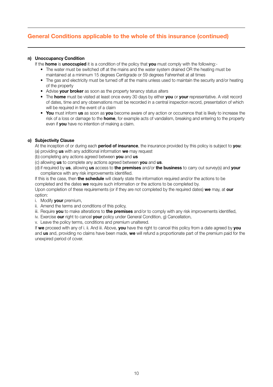# **General Conditions applicable to the whole of this insurance (continued)**

#### **n) Unoccupancy Condition**

If the **home** is **unoccupied** it is a condition of the policy that **you** must comply with the following:-

- The water must be switched off at the mains and the water system drained OR the heating must be maintained at a minimum 15 degrees Centigrade or 59 degrees Fahrenheit at all times
- The gas and electricity must be turned off at the mains unless used to maintain the security and/or heating of the property
- Advise **your broker** as soon as the property tenancy status alters
- The **home** must be visited at least once every 30 days by either **you** or **your** representative. A visit record of dates, time and any observations must be recorded in a central inspection record, presentation of which will be required in the event of a claim
- **You** must inform **us** as soon as **you** become aware of any action or occurrence that is likely to increase the risk of a loss or damage to the **home**, for example acts of vandalism, breaking and entering to the property even if **you** have no intention of making a claim.

#### **o) Subjectivity Clause**

At the inception of or during each **period of insurance**, the insurance provided by this policy is subject to **you**: (a) providing **us** with any additional information **we** may request

- (b) completing any actions agreed between **you** and **us**
- (c) allowing **us** to complete any actions agreed between **you** and **us**.
- (d) if required by **us**, allowing **us** access to **the premises** and/or **the business** to carry out survey(s) and **your** compliance with any risk improvements identified.

If this is the case, then **the schedule** will clearly state the information required and/or the actions to be completed and the dates **we** require such information or the actions to be completed by. Upon completion of these requirements (or if they are not completed by the required dates) **we** may, at **our** option:

- i. Modify **your** premium,
- ii. Amend the terms and conditions of this policy,
- iii. Require **you** to make alterations to **the premises** and/or to comply with any risk improvements identified,
- iv. Exercise **our** right to cancel **your** policy under General Condition, g) Cancellation,
- v. Leave the policy terms, conditions and premium unaltered.

If **we** proceed with any of i. ii. And iii. Above, **you** have the right to cancel this policy from a date agreed by **you** and **us** and, providing no claims have been made, **we** will refund a proportionate part of the premium paid for the unexpired period of cover.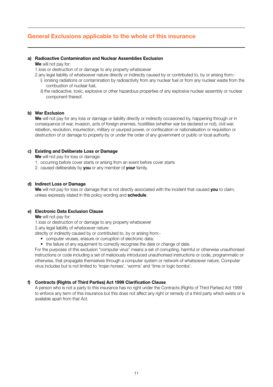### **General Exclusions applicable to the whole of this insurance**

#### **a) Radioactive Contamination and Nuclear Assemblies Exclusion**

#### **We** will not pay for:

1.loss or destruction of or damage to any property whatsoever

- 2.any legal liability of whatsoever nature directly or indirectly caused by or contributed to, by or arising from:
	- i) ionising radiations or contamination by radioactivity from any nuclear fuel or from any nuclear waste from the combustion of nuclear fuel,
	- ii) the radioactive, toxic, explosive or other hazardous properties of any explosive nuclear assembly or nuclear component thereof.

#### **b) War Exclusion**

**We** will not pay for any loss or damage or liability directly or indirectly occasioned by, happening through or in consequence of war, invasion, acts of foreign enemies, hostilities (whether war be declared or not), civil war, rebellion, revolution, insurrection, military or usurped power, or confiscation or nationalisation or requisition or destruction of or damage to property by or under the order of any government or public or local authority.

#### **c) Existing and Deliberate Loss or Damage**

**We** will not pay for loss or damage:

- 1. occurring before cover starts or arising from an event before cover starts
- 2. caused deliberately by **you** or any member of **your** family.

#### **d) Indirect Loss or Damage**

**We** will not pay for loss or damage that is not directly associated with the incident that caused **you** to claim, unless expressly stated in this policy wording and **schedule**.

#### **e) Electronic Data Exclusion Clause**

**We** will not pay for:

1.loss or destruction of or damage to any property whatsoever 2.any legal liability of whatsoever nature

directly or indirectly caused by or contributed to, by or arising from:-

• computer viruses, erasure or corruption of electronic data;

• the failure of any equipment to correctly recognise the date or change of date.

For the purposes of this exclusion "computer virus" means a set of corrupting, harmful or otherwise unauthorised instructions or code including a set of maliciously introduced unauthorised instructions or code, programmatic or otherwise, that propagate themselves through a computer system or network of whatsoever nature. Computer virus includes but is not limited to 'trojan horses', 'worms' and 'time or logic bombs'.

#### **f) Contracts (Rights of Third Parties) Act 1999 Clarification Clause**

A person who is not a party to this insurance has no right under the Contracts (Rights of Third Parties) Act 1999 to enforce any term of this insurance but this does not affect any right or remedy of a third party which exists or is available apart from that Act.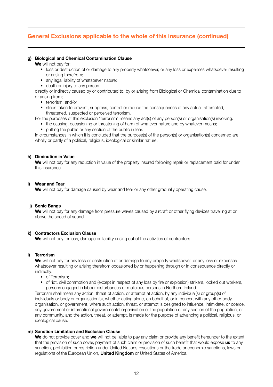# **General Exclusions applicable to the whole of this insurance (continued)**

#### **g) Biological and Chemical Contamination Clause**

**We** will not pay for:

- loss or destruction of or damage to any property whatsoever, or any loss or expenses whatsoever resulting or arising therefrom;
- any legal liability of whatsoever nature;
- death or injury to any person

directly or indirectly caused by or contributed to, by or arising from Biological or Chemical contamination due to or arising from;

- terrorism; and/or
- steps taken to prevent, suppress, control or reduce the consequences of any actual, attempted, threatened, suspected or perceived terrorism.

For the purposes of this exclusion "terrorism" means any act(s) of any person(s) or organisation(s) involving:

- the causing, occasioning or threatening of harm of whatever nature and by whatever means;
- putting the public or any section of the public in fear.

In circumstances in which it is concluded that the purpose(s) of the person(s) or organisation(s) concerned are wholly or partly of a political, religious, ideological or similar nature.

#### **h) Diminution in Value**

**We** will not pay for any reduction in value of the property insured following repair or replacement paid for under this insurance.

#### **i) Wear and Tear**

**We** will not pay for damage caused by wear and tear or any other gradually operating cause.

#### **j) Sonic Bangs**

**We** will not pay for any damage from pressure waves caused by aircraft or other flying devices travelling at or above the speed of sound.

#### **k) Contractors Exclusion Clause**

We will not pay for loss, damage or liability arising out of the activities of contractors.

#### **l) Terrorism**

**We** will not pay for any loss or destruction of or damage to any property whatsoever, or any loss or expenses whatsoever resulting or arising therefrom occasioned by or happening through or in consequence directly or indirectly:

- of Terrorism<sup>®</sup>
- of riot, civil commotion and (except in respect of any loss by fire or explosion) strikers, locked out workers, persons engaged in labour disturbances or malicious persons in Northern Ireland

Terrorism shall mean any action, threat of action, or attempt at action, by any individual(s) or group(s) of individuals or body or organisation(s), whether acting alone, on behalf of, or in concert with any other body, organisation, or government, where such action, threat, or attempt is designed to influence, intimidate, or coerce, any government or international governmental organisation or the population or any section of the population, or any community, and the action, threat, or attempt, is made for the purpose of advancing a political, religious, or ideological cause.

#### **m) Sanction Limitation and Exclusion Clause**

**We** do not provide cover and **we** will not be liable to pay any claim or provide any benefit hereunder to the extent that the provision of such cover, payment of such claim or provision of such benefit that would expose **us** to any sanction, prohibition or restriction under United Nations resolutions or the trade or economic sanctions, laws or regulations of the European Union, **United Kingdom** or United States of America.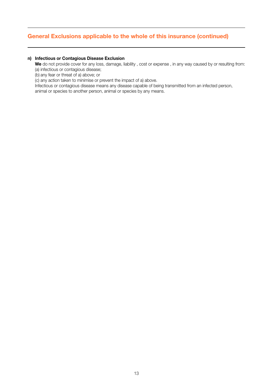# **General Exclusions applicable to the whole of this insurance (continued)**

#### **n) Infectious or Contagious Disease Exclusion**

**We** do not provide cover for any loss, damage, liability , cost or expense , in any way caused by or resulting from: (a) infectious or contagious disease;

(b) any fear or threat of a) above; or

(c) any action taken to minimise or prevent the impact of a) above.

Infectious or contagious disease means any disease capable of being transmitted from an infected person,

animal or species to another person, animal or species by any means.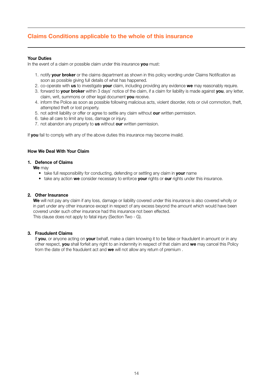# **Claims Conditions applicable to the whole of this insurance**

#### **Your Duties**

In the event of a claim or possible claim under this insurance **you** must:

- 1. notify **your broker** or the claims department as shown in this policy wording under Claims Notification as soon as possible giving full details of what has happened.
- 2. co-operate with **us** to investigate **your** claim, including providing any evidence **we** may reasonably require.
- 3. forward to **your broker** within 3 days' notice of the claim, if a claim for liability is made against **you**, any letter, claim, writ, summons or other legal document **you** receive.
- 4. inform the Police as soon as possible following malicious acts, violent disorder, riots or civil commotion, theft, attempted theft or lost property.
- 5. not admit liability or offer or agree to settle any claim without **our** written permission.
- 6. take all care to limit any loss, damage or injury.
- 7. not abandon any property to **us** without **our** written permission.

If you fail to comply with any of the above duties this insurance may become invalid.

#### **How We Deal With Your Claim**

#### **1. Defence of Claims**

- **We** may
	- take full responsibility for conducting, defending or settling any claim in **your** name
	- take any action **we** consider necessary to enforce **your** rights or **our** rights under this insurance.

#### **2. Other Insurance**

**We** will not pay any claim if any loss, damage or liability covered under this insurance is also covered wholly or in part under any other insurance except in respect of any excess beyond the amount which would have been covered under such other insurance had this insurance not been effected. This clause does not apply to fatal injury (Section Two - G).

#### **3. Fraudulent Claims**

If **you**, or anyone acting on **your** behalf, make a claim knowing it to be false or fraudulent in amount or in any other respect, **you** shall forfeit any right to an indemnity in respect of that claim and **we** may cancel this Policy from the date of the fraudulent act and **we** will not allow any return of premium .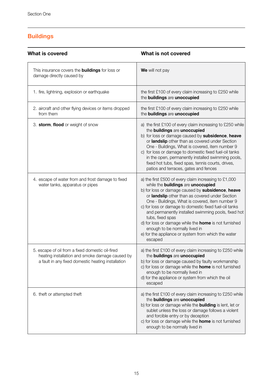# **Buildings**

| What is covered                                                                                                                                           | What is not covered                                                                                                                                                                                                                                                                                                                                                                                                                                                                                                                                             |  |
|-----------------------------------------------------------------------------------------------------------------------------------------------------------|-----------------------------------------------------------------------------------------------------------------------------------------------------------------------------------------------------------------------------------------------------------------------------------------------------------------------------------------------------------------------------------------------------------------------------------------------------------------------------------------------------------------------------------------------------------------|--|
| This insurance covers the <b>buildings</b> for loss or<br>damage directly caused by                                                                       | We will not pay                                                                                                                                                                                                                                                                                                                                                                                                                                                                                                                                                 |  |
| 1. fire, lightning, explosion or earthquake                                                                                                               | the first £100 of every claim increasing to £250 while<br>the buildings are unoccupied                                                                                                                                                                                                                                                                                                                                                                                                                                                                          |  |
| 2. aircraft and other flying devices or items dropped<br>from them                                                                                        | the first £100 of every claim increasing to £250 while<br>the buildings are unoccupied                                                                                                                                                                                                                                                                                                                                                                                                                                                                          |  |
| 3. storm, flood or weight of snow                                                                                                                         | a) the first £100 of every claim increasing to £250 while<br>the buildings are unoccupied<br>b) for loss or damage caused by subsidence, heave<br>or landslip other than as covered under Section<br>One - Buildings, What is covered, item number 9<br>c) for loss or damage to domestic fixed fuel-oil tanks<br>in the open, permanently installed swimming pools,<br>fixed hot tubs, fixed spas, tennis courts, drives,<br>patios and terraces, gates and fences                                                                                             |  |
| 4. escape of water from and frost damage to fixed<br>water tanks, apparatus or pipes                                                                      | a) the first £500 of every claim increasing to £1,000<br>while the buildings are unoccupied<br>b) for loss or damage caused by subsidence, heave<br>or landslip other than as covered under Section<br>One - Buildings, What is covered, item number 9<br>c) for loss or damage to domestic fixed fuel-oil tanks<br>and permanently installed swimming pools, fixed hot<br>tubs, fixed spas<br>d) for loss or damage while the <b>home</b> is not furnished<br>enough to be normally lived in<br>e) for the appliance or system from which the water<br>escaped |  |
| 5. escape of oil from a fixed domestic oil-fired<br>heating installation and smoke damage caused by<br>a fault in any fixed domestic heating installation | a) the first £100 of every claim increasing to £250 while<br>the buildings are unoccupied<br>b) for loss or damage caused by faulty workmanship<br>c) for loss or damage while the <b>home</b> is not furnished<br>enough to be normally lived in<br>d) for the appliance or system from which the oil<br>escaped                                                                                                                                                                                                                                               |  |
| 6. theft or attempted theft                                                                                                                               | a) the first £100 of every claim increasing to £250 while<br>the buildings are unoccupied<br>b) for loss or damage while the <b>building</b> is lent, let or<br>sublet unless the loss or damage follows a violent<br>and forcible entry or by deception<br>c) for loss or damage while the <b>home</b> is not furnished<br>enough to be normally lived in                                                                                                                                                                                                      |  |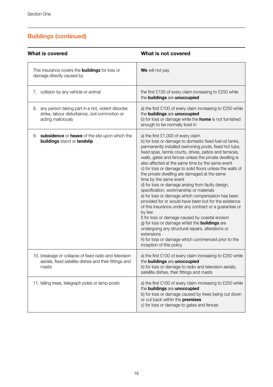| What is covered                                                                                                                   | What is not covered                                                                                                                                                                                                                                                                                                                                                                                                                                                                                                                                                                                                                                                                                                                                                                                                                                                                                                                                                                                                       |  |
|-----------------------------------------------------------------------------------------------------------------------------------|---------------------------------------------------------------------------------------------------------------------------------------------------------------------------------------------------------------------------------------------------------------------------------------------------------------------------------------------------------------------------------------------------------------------------------------------------------------------------------------------------------------------------------------------------------------------------------------------------------------------------------------------------------------------------------------------------------------------------------------------------------------------------------------------------------------------------------------------------------------------------------------------------------------------------------------------------------------------------------------------------------------------------|--|
| This insurance covers the <b>buildings</b> for loss or<br>damage directly caused by                                               | We will not pay                                                                                                                                                                                                                                                                                                                                                                                                                                                                                                                                                                                                                                                                                                                                                                                                                                                                                                                                                                                                           |  |
| 7. collision by any vehicle or animal                                                                                             | the first £100 of every claim increasing to £250 while<br>the buildings are unoccupied                                                                                                                                                                                                                                                                                                                                                                                                                                                                                                                                                                                                                                                                                                                                                                                                                                                                                                                                    |  |
| any person taking part in a riot, violent disorder,<br>8.<br>strike, labour disturbance, civil commotion or<br>acting maliciously | a) the first £100 of every claim increasing to £250 while<br>the buildings are unoccupied<br>b) for loss or damage while the <b>home</b> is not furnished<br>enough to be normally lived in                                                                                                                                                                                                                                                                                                                                                                                                                                                                                                                                                                                                                                                                                                                                                                                                                               |  |
| 9. subsidence or heave of the site upon which the<br>buildings stand or landslip                                                  | a) the first £1,000 of every claim<br>b) for loss or damage to domestic fixed fuel-oil tanks,<br>permanently installed swimming pools, fixed hot tubs,<br>fixed spas, tennis courts, drives, patios and terraces,<br>walls, gates and fences unless the private dwelling is<br>also affected at the same time by the same event<br>c) for loss or damage to solid floors unless the walls of<br>the private dwelling are damaged at the same<br>time by the same event<br>d) for loss or damage arising from faulty design,<br>specification, workmanship or materials<br>e) for loss or damage which compensation has been<br>provided for or would have been but for the existence<br>of this insurance under any contract or a quarantee or<br>by law<br>f) for loss or damage caused by coastal erosion<br>g) for loss or damage whilst the <b>buildings</b> are<br>undergoing any structural repairs, alterations or<br>extensions<br>h) for loss or damage which commenced prior to the<br>inception of this policy |  |
| 10. breakage or collapse of fixed radio and television<br>aerials, fixed satellite dishes and their fittings and<br>masts         | a) the first £100 of every claim increasing to £250 while<br>the buildings are unoccupied<br>b) for loss or damage to radio and television aerials,<br>satellite dishes, their fittings and masts                                                                                                                                                                                                                                                                                                                                                                                                                                                                                                                                                                                                                                                                                                                                                                                                                         |  |
| 11. falling trees, telegraph poles or lamp-posts                                                                                  | a) the first £100 of every claim increasing to £250 while<br>the buildings are unoccupied<br>b) for loss or damage caused by trees being cut down<br>or cut back within the premises<br>c) for loss or damage to gates and fences                                                                                                                                                                                                                                                                                                                                                                                                                                                                                                                                                                                                                                                                                                                                                                                         |  |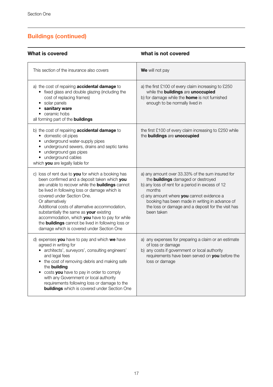| What is covered                                                                                                                                                                                                                                                                                                                                                                                                                                                                                                           | What is not covered                                                                                                                                                                                                                                                                                                            |  |
|---------------------------------------------------------------------------------------------------------------------------------------------------------------------------------------------------------------------------------------------------------------------------------------------------------------------------------------------------------------------------------------------------------------------------------------------------------------------------------------------------------------------------|--------------------------------------------------------------------------------------------------------------------------------------------------------------------------------------------------------------------------------------------------------------------------------------------------------------------------------|--|
| This section of the insurance also covers                                                                                                                                                                                                                                                                                                                                                                                                                                                                                 | We will not pay                                                                                                                                                                                                                                                                                                                |  |
| a) the cost of repairing <b>accidental damage</b> to<br>• fixed glass and double glazing (including the<br>cost of replacing frames)<br>• solar panels<br>• sanitary ware<br>• ceramic hobs<br>all forming part of the <b>buildings</b>                                                                                                                                                                                                                                                                                   | a) the first £100 of every claim increasing to £250<br>while the buildings are unoccupied<br>b) for damage while the <b>home</b> is not furnished<br>enough to be normally lived in                                                                                                                                            |  |
| b) the cost of repairing <b>accidental damage</b> to<br>• domestic oil pipes<br>• underground water-supply pipes<br>underground sewers, drains and septic tanks<br>٠<br>• underground gas pipes<br>• underground cables<br>which you are legally liable for                                                                                                                                                                                                                                                               | the first £100 of every claim increasing to £250 while<br>the buildings are unoccupied                                                                                                                                                                                                                                         |  |
| c) loss of rent due to you for which a booking has<br>been confirmed and a deposit taken which you<br>are unable to recover while the <b>buildings</b> cannot<br>be lived in following loss or damage which is<br>covered under Section One.<br>Or alternatively<br>Additional costs of alternative accommodation,<br>substantially the same as your existing<br>accommodation, which you have to pay for while<br>the <b>buildings</b> cannot be lived in following loss or<br>damage which is covered under Section One | a) any amount over 33.33% of the sum insured for<br>the <b>buildings</b> damaged or destroyed<br>b) any loss of rent for a period in excess of 12<br>months<br>c) any amount where you cannot evidence a<br>booking has been made in writing in advance of<br>the loss or damage and a deposit for the visit has<br>been taken |  |
| d) expenses you have to pay and which we have<br>agreed in writing for<br>• architects', surveyors', consulting engineers'<br>and legal fees<br>• the cost of removing debris and making safe<br>the building<br>• costs you have to pay in order to comply<br>with any Government or local authority<br>requirements following loss or damage to the<br><b>buildings</b> which is covered under Section One                                                                                                              | a) any expenses for preparing a claim or an estimate<br>of loss or damage<br>b) any costs if government or local authority<br>requirements have been served on you before the<br>loss or damage                                                                                                                                |  |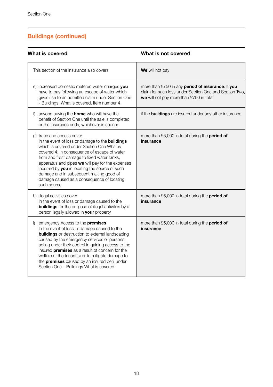| What is covered                                                                                                                                                                                                                                                                                                                                                                                                                                                         | What is not covered                                                                                                                                    |  |
|-------------------------------------------------------------------------------------------------------------------------------------------------------------------------------------------------------------------------------------------------------------------------------------------------------------------------------------------------------------------------------------------------------------------------------------------------------------------------|--------------------------------------------------------------------------------------------------------------------------------------------------------|--|
| This section of the insurance also covers                                                                                                                                                                                                                                                                                                                                                                                                                               | We will not pay                                                                                                                                        |  |
| e) increased domestic metered water charges you<br>have to pay following an escape of water which<br>gives rise to an admitted claim under Section One<br>- Buildings, What is covered, item number 4                                                                                                                                                                                                                                                                   | more than £750 in any period of insurance. If you<br>claim for such loss under Section One and Section Two.<br>we will not pay more than £750 in total |  |
| f) anyone buying the <b>home</b> who will have the<br>benefit of Section One until the sale is completed<br>or the insurance ends, whichever is sooner                                                                                                                                                                                                                                                                                                                  | if the <b>buildings</b> are insured under any other insurance                                                                                          |  |
| g) trace and access cover<br>In the event of loss or damage to the <b>buildings</b><br>which is covered under Section One What is<br>covered 4. in consequence of escape of water<br>from and frost damage to fixed water tanks,<br>apparatus and pipes we will pay for the expenses<br>incurred by you in locating the source of such<br>damage and in subsequent making good of<br>damage caused as a consequence of locating<br>such source                          | more than £5,000 in total during the <b>period of</b><br>insurance                                                                                     |  |
| h) illegal activities cover<br>In the event of loss or damage caused to the<br><b>buildings</b> for the purpose of illegal activities by a<br>person legally allowed in your property                                                                                                                                                                                                                                                                                   | more than £5,000 in total during the period of<br>insurance                                                                                            |  |
| i) emergency Access to the <b>premises</b><br>In the event of loss or damage caused to the<br><b>buildings</b> or destruction to external landscaping<br>caused by the emergency services or persons<br>acting under their control in gaining access to the<br>insured premises as a result of concern for the<br>welfare of the tenant(s) or to mitigate damage to<br>the <b>premises</b> caused by an insured peril under<br>Section One - Buildings What is covered. | more than £5,000 in total during the period of<br>insurance                                                                                            |  |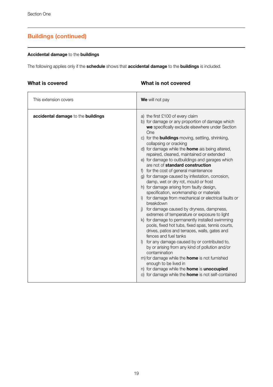#### **Accidental damage** to the **buildings**

The following applies only if the **schedule** shows that **accidental damage** to the **buildings** is included.

### **What is covered**

### **What is not covered**

| This extension covers              | We will not pay                                                                                                                                                                                                                                                                                                                                                                                                                                                                                                                                                                                                                                                                                                                                                                                                                                                                                                                                                                                                                                                                                                                                                                                                                                                                                                                                      |
|------------------------------------|------------------------------------------------------------------------------------------------------------------------------------------------------------------------------------------------------------------------------------------------------------------------------------------------------------------------------------------------------------------------------------------------------------------------------------------------------------------------------------------------------------------------------------------------------------------------------------------------------------------------------------------------------------------------------------------------------------------------------------------------------------------------------------------------------------------------------------------------------------------------------------------------------------------------------------------------------------------------------------------------------------------------------------------------------------------------------------------------------------------------------------------------------------------------------------------------------------------------------------------------------------------------------------------------------------------------------------------------------|
| accidental damage to the buildings | a) the first £100 of every claim<br>b) for damage or any proportion of damage which<br>we specifically exclude elsewhere under Section<br>One<br>c) for the <b>buildings</b> moving, settling, shrinking,<br>collapsing or cracking<br>d) for damage while the <b>home</b> ais being altered,<br>repaired, cleaned, maintained or extended<br>e) for damage to outbuildings and garages which<br>are not of standard construction<br>f) for the cost of general maintenance<br>g) for damage caused by infestation, corrosion,<br>damp, wet or dry rot, mould or frost<br>h) for damage arising from faulty design,<br>specification, workmanship or materials<br>i) for damage from mechanical or electrical faults or<br>breakdown<br>j) for damage caused by dryness, dampness,<br>extremes of temperature or exposure to light<br>k) for damage to permanently installed swimming<br>pools, fixed hot tubs, fixed spas, tennis courts,<br>drives, patios and terraces, walls, gates and<br>fences and fuel tanks<br>I) for any damage caused by or contributed to,<br>by or arising from any kind of pollution and/or<br>contamination<br>m) for damage while the <b>home</b> is not furnished<br>enough to be lived in<br>n) for damage while the <b>home</b> is <b>unoccupied</b><br>o) for damage while the <b>home</b> is not self-contained |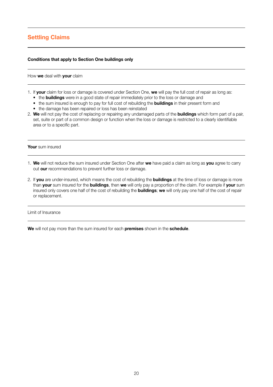# **Settling Claims**

#### **Conditions that apply to Section One buildings only**

How **we** deal with **your** claim

- 1. If **your** claim for loss or damage is covered under Section One, **we** will pay the full cost of repair as long as:
	- the **buildings** were in a good state of repair immediately prior to the loss or damage and
	- the sum insured is enough to pay for full cost of rebuilding the **buildings** in their present form and
	- the damage has been repaired or loss has been reinstated
- 2. **We** will not pay the cost of replacing or repairing any undamaged parts of the **buildings** which form part of a pair, set, suite or part of a common design or function when the loss or damage is restricted to a clearly identifiable area or to a specific part.

**Your** sum insured

- 1. **We** will not reduce the sum insured under Section One after **we** have paid a claim as long as **you** agree to carry out **our** recommendations to prevent further loss or damage.
- 2. If **you** are under-insured, which means the cost of rebuilding the **buildings** at the time of loss or damage is more than **your** sum insured for the **buildings**, then **we** will only pay a proportion of the claim. For example if **your** sum insured only covers one half of the cost of rebuilding the **buildings**; **we** will only pay one half of the cost of repair or replacement.

Limit of Insurance

**We** will not pay more than the sum insured for each **premises** shown in the **schedule**.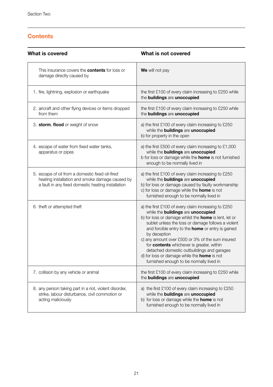# **Contents**

| What is covered                                                                                                                                           | What is not covered                                                                                                                                                                                                                                                                                                                                                                                                                                                                                                                   |  |
|-----------------------------------------------------------------------------------------------------------------------------------------------------------|---------------------------------------------------------------------------------------------------------------------------------------------------------------------------------------------------------------------------------------------------------------------------------------------------------------------------------------------------------------------------------------------------------------------------------------------------------------------------------------------------------------------------------------|--|
| This insurance covers the <b>contents</b> for loss or<br>damage directly caused by                                                                        | We will not pay                                                                                                                                                                                                                                                                                                                                                                                                                                                                                                                       |  |
| 1. fire, lightning, explosion or earthquake                                                                                                               | the first £100 of every claim increasing to £250 while<br>the buildings are unoccupied                                                                                                                                                                                                                                                                                                                                                                                                                                                |  |
| 2. aircraft and other flying devices or items dropped<br>from them                                                                                        | the first £100 of every claim increasing to £250 while<br>the buildings are unoccupied                                                                                                                                                                                                                                                                                                                                                                                                                                                |  |
| 3. storm, flood or weight of snow                                                                                                                         | a) the first £100 of every claim increasing to £250<br>while the buildings are unoccupied<br>b) for property in the open                                                                                                                                                                                                                                                                                                                                                                                                              |  |
| 4. escape of water from fixed water tanks,<br>apparatus or pipes                                                                                          | a) the first £500 of every claim increasing to £1,000<br>while the buildings are unoccupied<br>b for loss or damage while the <b>home</b> is not furnished<br>enough to be normally lived in                                                                                                                                                                                                                                                                                                                                          |  |
| 5. escape of oil from a domestic fixed oil-fired<br>heating installation and smoke damage caused by<br>a fault in any fixed domestic heating installation | a) the first £100 of every claim increasing to £250<br>while the buildings are unoccupied<br>b) for loss or damage caused by faulty workmanship<br>c) for loss or damage while the <b>home</b> is not<br>furnished enough to be normally lived in                                                                                                                                                                                                                                                                                     |  |
| 6. theft or attempted theft                                                                                                                               | a) the first £100 of every claim increasing to £250<br>while the buildings are unoccupied<br>b) for loss or damage whilst the <b>home</b> is lent, let or<br>sublet unless the loss or damage follows a violent<br>and forcible entry to the home or entry is gained<br>by deception<br>c) any amount over £500 or 3% of the sum insured<br>for contents whichever is greater, within<br>detached domestic outbuildings and garages<br>d) for loss or damage while the <b>home</b> is not<br>furnished enough to be normally lived in |  |
| 7. collision by any vehicle or animal                                                                                                                     | the first £100 of every claim increasing to £250 while<br>the buildings are unoccupied                                                                                                                                                                                                                                                                                                                                                                                                                                                |  |
| 8. any person taking part in a riot, violent disorder,<br>strike, labour disturbance, civil commotion or<br>acting maliciously                            | a) the first £100 of every claim increasing to £250<br>while the buildings are unoccupied<br>b) for loss or damage while the <b>home</b> is not<br>furnished enough to be normally lived in                                                                                                                                                                                                                                                                                                                                           |  |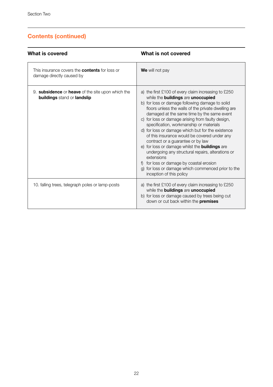| What is covered                                                                                | What is not covered                                                                                                                                                                                                                                                                                                                                                                                                                                                                                                                                                                                                                                                                                                                                |
|------------------------------------------------------------------------------------------------|----------------------------------------------------------------------------------------------------------------------------------------------------------------------------------------------------------------------------------------------------------------------------------------------------------------------------------------------------------------------------------------------------------------------------------------------------------------------------------------------------------------------------------------------------------------------------------------------------------------------------------------------------------------------------------------------------------------------------------------------------|
| This insurance covers the <b>contents</b> for loss or<br>damage directly caused by             | We will not pay                                                                                                                                                                                                                                                                                                                                                                                                                                                                                                                                                                                                                                                                                                                                    |
| 9. <b>subsidence</b> or <b>heave</b> of the site upon which the<br>buildings stand or landslip | a) the first £100 of every claim increasing to £250<br>while the buildings are unoccupied<br>b) for loss or damage following damage to solid<br>floors unless the walls of the private dwelling are<br>damaged at the same time by the same event<br>c) for loss or damage arising from faulty design,<br>specification, workmanship or materials<br>d) for loss or damage which but for the existence<br>of this insurance would be covered under any<br>contract or a quarantee or by law<br>e) for loss or damage whilst the <b>buildings</b> are<br>undergoing any structural repairs, alterations or<br>extensions<br>for loss or damage by coastal erosion<br>g) for loss or damage which commenced prior to the<br>inception of this policy |
| 10. falling trees, telegraph poles or lamp-posts                                               | a) the first £100 of every claim increasing to £250<br>while the buildings are unoccupied<br>b) for loss or damage caused by trees being cut<br>down or cut back within the <b>premises</b>                                                                                                                                                                                                                                                                                                                                                                                                                                                                                                                                                        |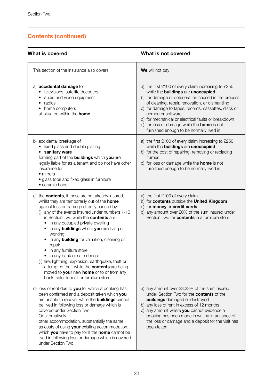| What is covered                                                                                                                                                                                                                                                                                                                                                                                                                                                                                                                                                                                                                                                                        | What is not covered                                                                                                                                                                                                                                                                                                                                                                                                                        |  |
|----------------------------------------------------------------------------------------------------------------------------------------------------------------------------------------------------------------------------------------------------------------------------------------------------------------------------------------------------------------------------------------------------------------------------------------------------------------------------------------------------------------------------------------------------------------------------------------------------------------------------------------------------------------------------------------|--------------------------------------------------------------------------------------------------------------------------------------------------------------------------------------------------------------------------------------------------------------------------------------------------------------------------------------------------------------------------------------------------------------------------------------------|--|
| This section of the insurance also covers                                                                                                                                                                                                                                                                                                                                                                                                                                                                                                                                                                                                                                              | We will not pay                                                                                                                                                                                                                                                                                                                                                                                                                            |  |
| a) accidental damage to<br>· televisions, satellite decoders<br>• audio and video equipment<br>• radios<br>• home computers<br>all situated within the <b>home</b>                                                                                                                                                                                                                                                                                                                                                                                                                                                                                                                     | a) the first £100 of every claim increasing to £250<br>while the buildings are unoccupied<br>b) for damage or deterioration caused in the process<br>of cleaning, repair, renovation, or dismantling<br>c) for damage to tapes, records, cassettes, discs or<br>computer software<br>d) for mechanical or electrical faults or breakdown<br>e) for loss or damage while the <b>home</b> is not<br>furnished enough to be normally lived in |  |
| b) accidental breakage of<br>• fixed glass and double glazing<br>• sanitary ware<br>forming part of the <b>buildings</b> which you are<br>legally liable for as a tenant and do not have other<br>insurance for<br>$\bullet$ mirrors<br>· glass tops and fixed glass in furniture<br>• ceramic hobs                                                                                                                                                                                                                                                                                                                                                                                    | a) the first £100 of every claim increasing to £250<br>while the buildings are unoccupied<br>b) for the cost of repairing, removing or replacing<br>frames<br>c) for loss or damage while the <b>home</b> is not<br>furnished enough to be normally lived in                                                                                                                                                                               |  |
| c) the contents, if these are not already insured,<br>whilst they are temporarily out of the home<br>against loss or damage directly caused by:<br>(i) any of the events insured under numbers 1-10<br>in Section Two while the <b>contents</b> are:<br>• in any occupied private dwelling<br>• in any <b>buildings</b> where you are living or<br>working<br>• in any <b>building</b> for valuation, cleaning or<br>repair<br>• in any furniture store<br>• in any bank or safe deposit<br>(ii) fire, lightning, explosion, earthquake, theft or<br>attempted theft while the contents are being<br>moved to your new home or to or from any<br>bank, safe deposit or furniture store | a) the first £100 of every claim<br>b) for contents outside the United Kingdom<br>c) for money or credit cards<br>d) any amount over 20% of the sum insured under<br>Section Two for <b>contents</b> in a furniture store                                                                                                                                                                                                                  |  |
| d) loss of rent due to you for which a booking has<br>been confirmed and a deposit taken which you<br>are unable to recover while the <b>buildings</b> cannot<br>be lived in following loss or damage which is<br>covered under Section Two.<br>Or alternatively<br>other accommodation, substantially the same<br>as costs of using your existing accommodation,<br>which you have to pay for if the home cannot be<br>lived in following loss or damage which is covered<br>under Section Two                                                                                                                                                                                        | a) any amount over 33.33% of the sum insured<br>under Section Two for the contents of the<br><b>buildings</b> damaged or destroyed<br>b) any loss of rent in excess of 12 months<br>c) any amount where you cannot evidence a<br>booking has been made in writing in advance of<br>the loss or damage and a deposit for the visit has<br>been taken                                                                                        |  |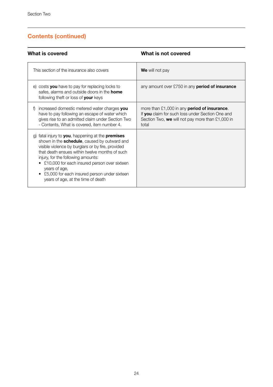| What is covered                                                                                                                                                                                                                                                                                                                                                                                           | What is not covered                                                                                                                                                     |
|-----------------------------------------------------------------------------------------------------------------------------------------------------------------------------------------------------------------------------------------------------------------------------------------------------------------------------------------------------------------------------------------------------------|-------------------------------------------------------------------------------------------------------------------------------------------------------------------------|
| This section of the insurance also covers                                                                                                                                                                                                                                                                                                                                                                 | We will not pay                                                                                                                                                         |
| e) costs you have to pay for replacing locks to<br>safes, alarms and outside doors in the <b>home</b><br>following theft or loss of your keys                                                                                                                                                                                                                                                             | any amount over $£750$ in any <b>period of insurance</b>                                                                                                                |
| increased domestic metered water charges you<br>f)<br>have to pay following an escape of water which<br>gives rise to an admitted claim under Section Two<br>- Contents, What is covered, item number 4.                                                                                                                                                                                                  | more than $£1,000$ in any <b>period of insurance</b> .<br>If you claim for such loss under Section One and<br>Section Two, we will not pay more than £1,000 in<br>total |
| g) fatal injury to you, happening at the premises<br>shown in the schedule, caused by outward and<br>visible violence by burglars or by fire, provided<br>that death ensues within twelve months of such<br>injury, for the following amounts:<br>• £10,000 for each insured person over sixteen<br>years of age,<br>• £5,000 for each insured person under sixteen<br>years of age, at the time of death |                                                                                                                                                                         |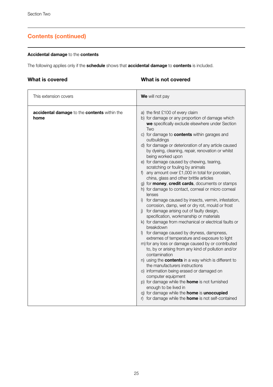#### **Accidental damage** to the **contents**

The following applies only if the **schedule** shows that **accidental damage** to **contents** is included.

### **What is covered**

### **What is not covered**

| This extension covers                                | We will not pay                                                                                                                                                                                                                                                                                                                                                                                                                                                                                                                                                                                                                                                                                                                                                                                                                                                                                                                                                                                                                                                                                                                                                                                                                                                                                                                                                                                                                                                                                                                               |
|------------------------------------------------------|-----------------------------------------------------------------------------------------------------------------------------------------------------------------------------------------------------------------------------------------------------------------------------------------------------------------------------------------------------------------------------------------------------------------------------------------------------------------------------------------------------------------------------------------------------------------------------------------------------------------------------------------------------------------------------------------------------------------------------------------------------------------------------------------------------------------------------------------------------------------------------------------------------------------------------------------------------------------------------------------------------------------------------------------------------------------------------------------------------------------------------------------------------------------------------------------------------------------------------------------------------------------------------------------------------------------------------------------------------------------------------------------------------------------------------------------------------------------------------------------------------------------------------------------------|
| accidental damage to the contents within the<br>home | a) the first £100 of every claim<br>b) for damage or any proportion of damage which<br>we specifically exclude elsewhere under Section<br>Two<br>c) for damage to <b>contents</b> within garages and<br>outbuildings<br>d) for damage or deterioration of any article caused<br>by dyeing, cleaning, repair, renovation or whilst<br>being worked upon<br>e) for damage caused by chewing, tearing,<br>scratching or fouling by animals<br>f) any amount over $£1,000$ in total for porcelain,<br>china, glass and other brittle articles<br>g) for <b>money</b> , credit cards, documents or stamps<br>h) for damage to contact, corneal or micro corneal<br>lenses<br>i) for damage caused by insects, vermin, infestation,<br>corrosion, damp, wet or dry rot, mould or frost<br>j) for damage arising out of faulty design,<br>specification, workmanship or materials<br>k) for damage from mechanical or electrical faults or<br>breakdown<br>I) for damage caused by dryness, dampness,<br>extremes of temperature and exposure to light<br>m) for any loss or damage caused by or contributed<br>to, by or arising from any kind of pollution and/or<br>contamination<br>n) using the <b>contents</b> in a way which is different to<br>the manufacturers instructions<br>o) information being erased or damaged on<br>computer equipment<br>p) for damage while the <b>home</b> is not furnished<br>enough to be lived in<br>q) for damage while the home is unoccupied<br>r) for damage while the <b>home</b> is not self-contained |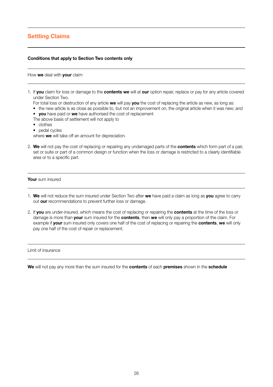# **Settling Claims**

#### **Conditions that apply to Section Two contents only**

#### How **we** deal with **your** claim

- 1. If **you** claim for loss or damage to the **contents we** will at **our** option repair, replace or pay for any article covered under Section Two.
	- For total loss or destruction of any article **we** will pay **you** the cost of replacing the article as new, as long as:
	- the new article is as close as possible to, but not an improvement on, the original article when it was new; and
	- **you** have paid or **we** have authorised the cost of replacement
	- The above basis of settlement will not apply to
	- clothes
	- pedal cycles

where **we** will take off an amount for depreciation.

2. **We** will not pay the cost of replacing or repairing any undamaged parts of the **contents** which form part of a pair, set or suite or part of a common design or function when the loss or damage is restricted to a clearly identifiable area or to a specific part.

#### **Your** sum insured

- 1. **We** will not reduce the sum insured under Section Two after **we** have paid a claim as long as **you** agree to carry out **our** recommendations to prevent further loss or damage.
- 2. If **you** are under-insured, which means the cost of replacing or repairing the **contents** at the time of the loss or damage is more than **your** sum insured for the **contents**, then **we** will only pay a proportion of the claim. For example if **your** sum insured only covers one half of the cost of replacing or repairing the **contents**, **we** will only pay one half of the cost of repair or replacement.

#### Limit of insurance

**We** will not pay any more than the sum insured for the **contents** of each **premises** shown in the **schedule**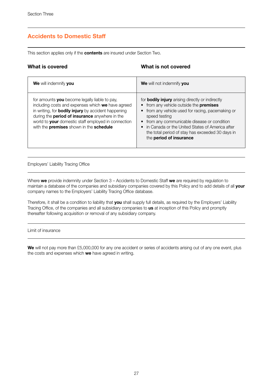# **Accidents to Domestic Staff**

This section applies only if the **contents** are insured under Section Two.

### **What is covered**

#### **What is not covered**

| We will indemnify you                                                                                                                                                                                                                                                                                                       | We will not indemnify you                                                                                                                                                                                                                                                                                                                                    |
|-----------------------------------------------------------------------------------------------------------------------------------------------------------------------------------------------------------------------------------------------------------------------------------------------------------------------------|--------------------------------------------------------------------------------------------------------------------------------------------------------------------------------------------------------------------------------------------------------------------------------------------------------------------------------------------------------------|
| for amounts you become legally liable to pay.<br>including costs and expenses which we have agreed<br>in writing, for <b>bodily injury</b> by accident happening<br>during the <b>period of insurance</b> anywhere in the<br>world to your domestic staff employed in connection<br>with the premises shown in the schedule | for <b>bodily injury</b> arising directly or indirectly<br>• from any vehicle outside the premises<br>• from any vehicle used for racing, pacemaking or<br>speed testing<br>• from any communicable disease or condition<br>• in Canada or the United States of America after<br>the total period of stay has exceeded 30 days in<br>the period of insurance |

Employers' Liability Tracing Office

Where **we** provide indemnity under Section 3 – Accidents to Domestic Staff **we** are required by regulation to maintain a database of the companies and subsidiary companies covered by this Policy and to add details of all **your** company names to the Employers' Liability Tracing Office database.

Therefore, it shall be a condition to liability that **you** shall supply full details, as required by the Employers' Liability Tracing Office, of the companies and all subsidiary companies to **us** at inception of this Policy and promptly thereafter following acquisition or removal of any subsidiary company.

Limit of insurance

**We** will not pay more than £5,000,000 for any one accident or series of accidents arising out of any one event, plus the costs and expenses which **we** have agreed in writing.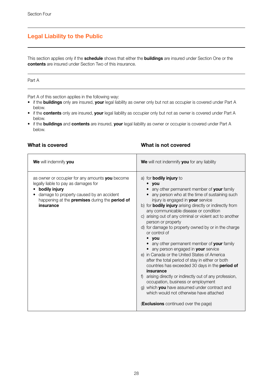# **Legal Liability to the Public**

This section applies only if the **schedule** shows that either the **buildings** are insured under Section One or the **contents** are insured under Section Two of this insurance.

#### Part A

Part A of this section applies in the following way:

- if the **buildings** only are insured, **your** legal liability as owner only but not as occupier is covered under Part A below.
- if the **contents** only are insured, **your** legal liability as occupier only but not as owner is covered under Part A below.
- if the **buildings** and **contents** are insured, **your** legal liability as owner or occupier is covered under Part A below.

### **What is covered**

#### **What is not covered**

| We will indemnify you                                                                                                                                                                                               | We will not indemnify you for any liability                                                                                                                                                                                                                                                                                                                                                                                                                                                                                                                                                                                                                                                                                                                                                                                                                                                                                                                                               |
|---------------------------------------------------------------------------------------------------------------------------------------------------------------------------------------------------------------------|-------------------------------------------------------------------------------------------------------------------------------------------------------------------------------------------------------------------------------------------------------------------------------------------------------------------------------------------------------------------------------------------------------------------------------------------------------------------------------------------------------------------------------------------------------------------------------------------------------------------------------------------------------------------------------------------------------------------------------------------------------------------------------------------------------------------------------------------------------------------------------------------------------------------------------------------------------------------------------------------|
| as owner or occupier for any amounts you become<br>legally liable to pay as damages for<br>bodily injury<br>damage to property caused by an accident<br>happening at the premises during the period of<br>insurance | a) for <b>bodily injury</b> to<br>$\bullet$ you<br>any other permanent member of your family<br>• any person who at the time of sustaining such<br>injury is engaged in your service<br>b) for <b>bodily injury</b> arising directly or indirectly from<br>any communicable disease or condition<br>c) arising out of any criminal or violent act to another<br>person or property<br>d) for damage to property owned by or in the charge<br>or control of<br>$\bullet$ you<br>• any other permanent member of your family<br>• any person engaged in your service<br>e) in Canada or the United States of America<br>after the total period of stay in either or both<br>countries has exceeded 30 days in the <b>period of</b><br>insurance<br>f) arising directly or indirectly out of any profession,<br>occupation, business or employment<br>g) which you have assumed under contract and<br>which would not otherwise have attached<br><b>(Exclusions</b> continued over the page) |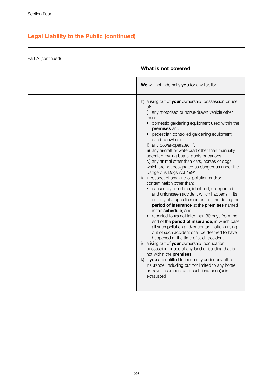# **Legal Liability to the Public (continued)**

Part A (continued)

### **What is not covered**

| We will not indemnify you for any liability                                                                                                                                                                                                                                                                                                                                                                                                                                                                                                                                                                                                                                                                                                                                                                                                                                                                                                                                                                                                                                                                                                                                                                                                                                                                                                                                                                |
|------------------------------------------------------------------------------------------------------------------------------------------------------------------------------------------------------------------------------------------------------------------------------------------------------------------------------------------------------------------------------------------------------------------------------------------------------------------------------------------------------------------------------------------------------------------------------------------------------------------------------------------------------------------------------------------------------------------------------------------------------------------------------------------------------------------------------------------------------------------------------------------------------------------------------------------------------------------------------------------------------------------------------------------------------------------------------------------------------------------------------------------------------------------------------------------------------------------------------------------------------------------------------------------------------------------------------------------------------------------------------------------------------------|
| h) arising out of your ownership, possession or use<br>$\circ$ f:<br>i) any motorised or horse-drawn vehicle other<br>than:<br>domestic gardening equipment used within the<br>premises and<br>• pedestrian controlled gardening equipment<br>used elsewhere<br>ii) any power-operated lift<br>iii) any aircraft or watercraft other than manually<br>operated rowing boats, punts or canoes<br>iv) any animal other than cats, horses or dogs<br>which are not designated as dangerous under the<br>Dangerous Dogs Act 1991<br>in respect of any kind of pollution and/or<br>i)<br>contamination other than:<br>caused by a sudden, identified, unexpected<br>and unforeseen accident which happens in its<br>entirety at a specific moment of time during the<br>period of insurance at the premises named<br>in the schedule: and<br>• reported to us not later than 30 days from the<br>end of the period of insurance; in which case<br>all such pollution and/or contamination arising<br>out of such accident shall be deemed to have<br>happened at the time of such accident<br>arising out of your ownership, occupation,<br>$\vert$<br>possession or use of any land or building that is<br>not within the premises<br>k) if you are entitled to indemnity under any other<br>insurance, including but not limited to any horse<br>or travel insurance, until such insurance(s) is<br>exhausted |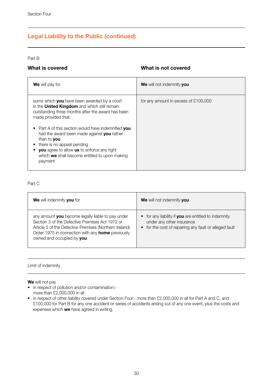# **Legal Liability to the Public (continued)**

#### Part B

### **What is covered**

### **What is not covered**

| <b>We</b> will pay for                                                                                                                                                                                                                                                                                                                                                                                                                     | We will not indemnify you            |
|--------------------------------------------------------------------------------------------------------------------------------------------------------------------------------------------------------------------------------------------------------------------------------------------------------------------------------------------------------------------------------------------------------------------------------------------|--------------------------------------|
| sums which you have been awarded by a court<br>in the <b>United Kingdom</b> and which still remain<br>outstanding three months after the award has been<br>made provided that:<br>• Part A of this section would have indemnified you<br>had the award been made against you rather<br>than to you<br>there is no appeal pending<br>you agree to allow us to enforce any right<br>which we shall become entitled to upon making<br>payment | for any amount in excess of £100,000 |

#### Part C

| We will indemnify you for                                                                                                                                                                                                                               | We will not indemnify you                                                                                                                              |
|---------------------------------------------------------------------------------------------------------------------------------------------------------------------------------------------------------------------------------------------------------|--------------------------------------------------------------------------------------------------------------------------------------------------------|
| any amount you become legally liable to pay under<br>Section 3 of the Defective Premises Act 1972 or<br>Article 5 of the Defective Premises (Northern Ireland)<br>Order 1975 in connection with any <b>home</b> previously<br>owned and occupied by vou | • for any liability if you are entitled to indemnity<br>under any other insurance<br>for the cost of repairing any fault or alleged fault<br>$\bullet$ |

#### Limit of indemnity

**We** will not pay

- in respect of pollution and/or contamination: more than £2,000,000 in all
- in respect of other liability covered under Section Four:- more than £2,000,000 in all for Part A and C, and £100,000 for Part B for any one accident or series of accidents arising out of any one event, plus the costs and expenses which **we** have agreed in writing.